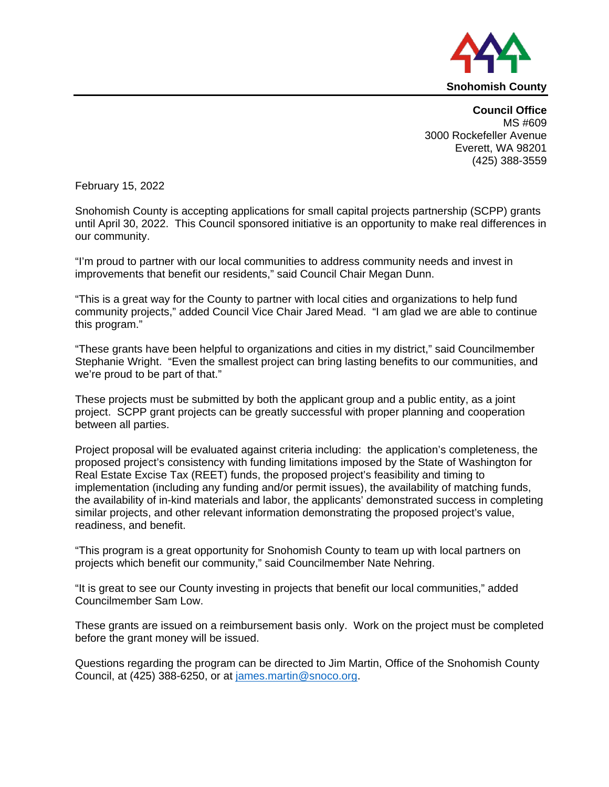

**Council Office** MS #609 3000 Rockefeller Avenue Everett, WA 98201 (425) 388-3559

February 15, 2022

Snohomish County is accepting applications for small capital projects partnership (SCPP) grants until April 30, 2022. This Council sponsored initiative is an opportunity to make real differences in our community.

"I'm proud to partner with our local communities to address community needs and invest in improvements that benefit our residents," said Council Chair Megan Dunn.

"This is a great way for the County to partner with local cities and organizations to help fund community projects," added Council Vice Chair Jared Mead. "I am glad we are able to continue this program."

"These grants have been helpful to organizations and cities in my district," said Councilmember Stephanie Wright. "Even the smallest project can bring lasting benefits to our communities, and we're proud to be part of that."

These projects must be submitted by both the applicant group and a public entity, as a joint project. SCPP grant projects can be greatly successful with proper planning and cooperation between all parties.

Project proposal will be evaluated against criteria including: the application's completeness, the proposed project's consistency with funding limitations imposed by the State of Washington for Real Estate Excise Tax (REET) funds, the proposed project's feasibility and timing to implementation (including any funding and/or permit issues), the availability of matching funds, the availability of in-kind materials and labor, the applicants' demonstrated success in completing similar projects, and other relevant information demonstrating the proposed project's value, readiness, and benefit.

"This program is a great opportunity for Snohomish County to team up with local partners on projects which benefit our community," said Councilmember Nate Nehring.

"It is great to see our County investing in projects that benefit our local communities," added Councilmember Sam Low.

These grants are issued on a reimbursement basis only. Work on the project must be completed before the grant money will be issued.

Questions regarding the program can be directed to Jim Martin, Office of the Snohomish County Council, at (425) 388-6250, or at [james.martin@snoco.org.](mailto:james.martin@snoco.org)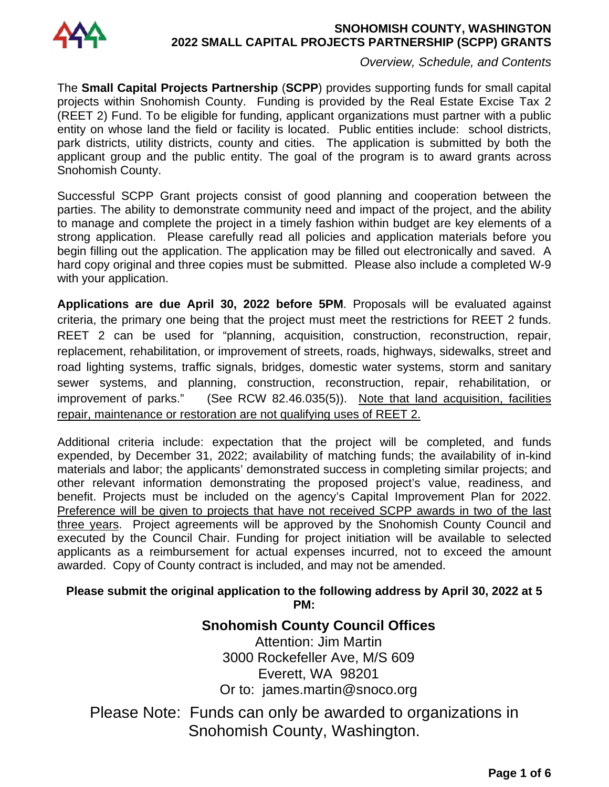

### **SNOHOMISH COUNTY, WASHINGTON 2022 SMALL CAPITAL PROJECTS PARTNERSHIP (SCPP) GRANTS**

*Overview, Schedule, and Contents*

The **Small Capital Projects Partnership** (**SCPP**) provides supporting funds for small capital projects within Snohomish County. Funding is provided by the Real Estate Excise Tax 2 (REET 2) Fund. To be eligible for funding, applicant organizations must partner with a public entity on whose land the field or facility is located. Public entities include: school districts, park districts, utility districts, county and cities. The application is submitted by both the applicant group and the public entity. The goal of the program is to award grants across Snohomish County.

Successful SCPP Grant projects consist of good planning and cooperation between the parties. The ability to demonstrate community need and impact of the project, and the ability to manage and complete the project in a timely fashion within budget are key elements of a strong application. Please carefully read all policies and application materials before you begin filling out the application. The application may be filled out electronically and saved. A hard copy original and three copies must be submitted. Please also include a completed W-9 with your application.

**Applications are due April 30, 2022 before 5PM**. Proposals will be evaluated against criteria, the primary one being that the project must meet the restrictions for REET 2 funds. REET 2 can be used for "planning, acquisition, construction, reconstruction, repair, replacement, rehabilitation, or improvement of streets, roads, highways, sidewalks, street and road lighting systems, traffic signals, bridges, domestic water systems, storm and sanitary sewer systems, and planning, construction, reconstruction, repair, rehabilitation, or improvement of parks." (See RCW 82.46.035(5)). Note that land acquisition, facilities repair, maintenance or restoration are not qualifying uses of REET 2.

Additional criteria include: expectation that the project will be completed, and funds expended, by December 31, 2022; availability of matching funds; the availability of in-kind materials and labor; the applicants' demonstrated success in completing similar projects; and other relevant information demonstrating the proposed project's value, readiness, and benefit. Projects must be included on the agency's Capital Improvement Plan for 2022. Preference will be given to projects that have not received SCPP awards in two of the last three years. Project agreements will be approved by the Snohomish County Council and executed by the Council Chair. Funding for project initiation will be available to selected applicants as a reimbursement for actual expenses incurred, not to exceed the amount awarded. Copy of County contract is included, and may not be amended.

## **Please submit the original application to the following address by April 30, 2022 at 5 PM:**

# **Snohomish County Council Offices**  Attention: Jim Martin 3000 Rockefeller Ave, M/S 609 Everett, WA 98201 Or to: james.martin@snoco.org

Please Note: Funds can only be awarded to organizations in Snohomish County, Washington.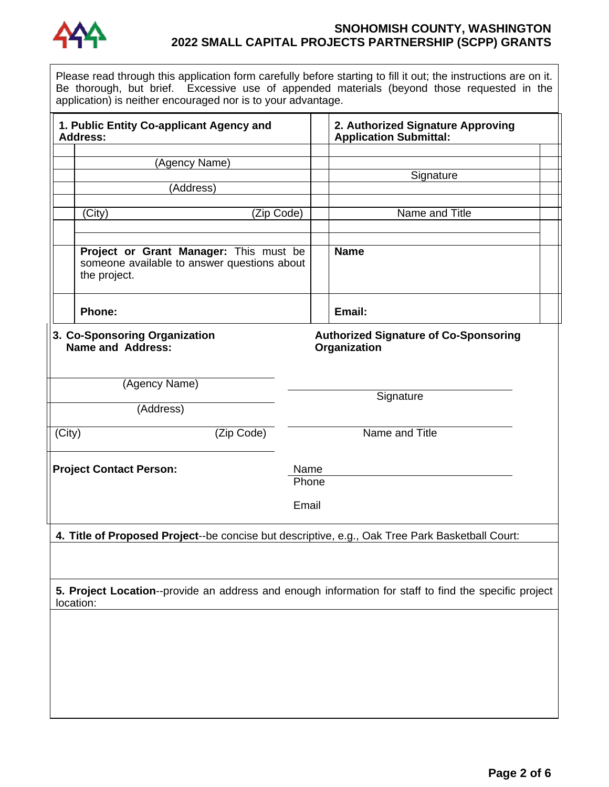

## **SNOHOMISH COUNTY, WASHINGTON 2022 SMALL CAPITAL PROJECTS PARTNERSHIP (SCPP) GRANTS**

Please read through this application form carefully before starting to fill it out; the instructions are on it. Be thorough, but brief. Excessive use of appended materials (beyond those requested in the application) is neither encouraged nor is to your advantage.

| 1. Public Entity Co-applicant Agency and<br>Address:                                                                                                                 |                                                                                                       |                |  | 2. Authorized Signature Approving<br><b>Application Submittal:</b> |  |  |  |  |
|----------------------------------------------------------------------------------------------------------------------------------------------------------------------|-------------------------------------------------------------------------------------------------------|----------------|--|--------------------------------------------------------------------|--|--|--|--|
|                                                                                                                                                                      | (Agency Name)                                                                                         |                |  |                                                                    |  |  |  |  |
|                                                                                                                                                                      |                                                                                                       |                |  | Signature                                                          |  |  |  |  |
|                                                                                                                                                                      | (Address)                                                                                             |                |  |                                                                    |  |  |  |  |
|                                                                                                                                                                      |                                                                                                       |                |  |                                                                    |  |  |  |  |
|                                                                                                                                                                      | (City)<br>(Zip Code)                                                                                  |                |  | Name and Title                                                     |  |  |  |  |
|                                                                                                                                                                      |                                                                                                       |                |  |                                                                    |  |  |  |  |
|                                                                                                                                                                      | Project or Grant Manager: This must be<br>someone available to answer questions about<br>the project. |                |  | <b>Name</b>                                                        |  |  |  |  |
|                                                                                                                                                                      | Phone:                                                                                                |                |  | Email:                                                             |  |  |  |  |
| 3. Co-Sponsoring Organization<br><b>Authorized Signature of Co-Sponsoring</b><br><b>Name and Address:</b><br>Organization<br>(Agency Name)<br>Signature<br>(Address) |                                                                                                       |                |  |                                                                    |  |  |  |  |
| (Zip Code)<br>(City)                                                                                                                                                 |                                                                                                       | Name and Title |  |                                                                    |  |  |  |  |
| <b>Project Contact Person:</b>                                                                                                                                       |                                                                                                       | Name<br>Phone  |  |                                                                    |  |  |  |  |
|                                                                                                                                                                      | Email                                                                                                 |                |  |                                                                    |  |  |  |  |
| 4. Title of Proposed Project--be concise but descriptive, e.g., Oak Tree Park Basketball Court:                                                                      |                                                                                                       |                |  |                                                                    |  |  |  |  |
|                                                                                                                                                                      |                                                                                                       |                |  |                                                                    |  |  |  |  |
| 5. Project Location--provide an address and enough information for staff to find the specific project<br>location:                                                   |                                                                                                       |                |  |                                                                    |  |  |  |  |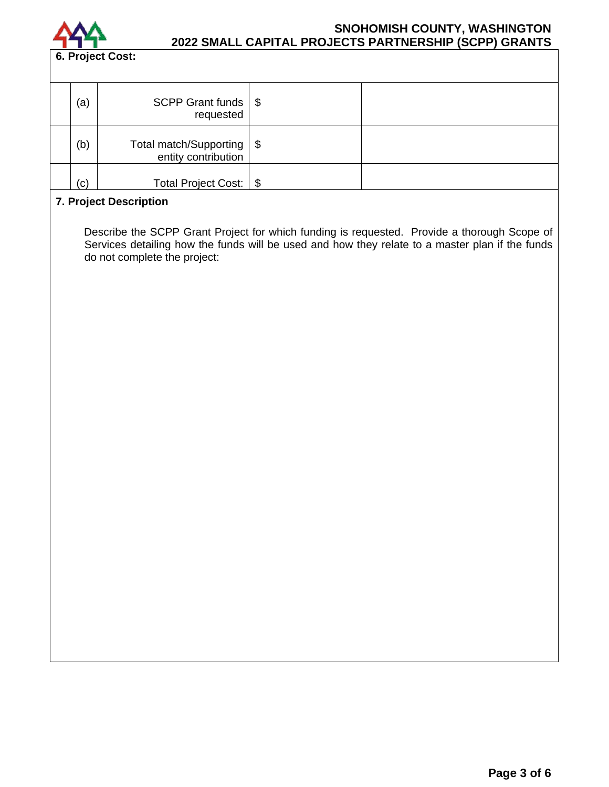

## **SNOHOMISH COUNTY, WASHINGTON 2022 SMALL CAPITAL PROJECTS PARTNERSHIP (SCPP) GRANTS**

| (a) | SCPP Grant funds $\frac{1}{2}$<br>requested        |  |
|-----|----------------------------------------------------|--|
| (b) | Total match/Supporting   \$<br>entity contribution |  |
| (c) | Total Project Cost:   \$                           |  |

#### **7. Project Description**

Describe the SCPP Grant Project for which funding is requested. Provide a thorough Scope of Services detailing how the funds will be used and how they relate to a master plan if the funds do not complete the project: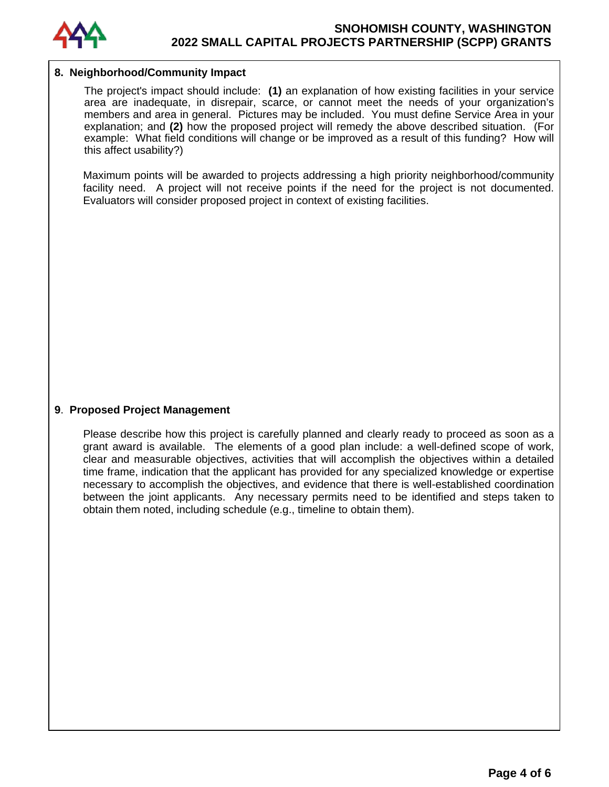

#### **8. Neighborhood/Community Impact**

The project's impact should include: **(1)** an explanation of how existing facilities in your service area are inadequate, in disrepair, scarce, or cannot meet the needs of your organization's members and area in general. Pictures may be included. You must define Service Area in your explanation; and **(2)** how the proposed project will remedy the above described situation. (For example: What field conditions will change or be improved as a result of this funding? How will this affect usability?)

Maximum points will be awarded to projects addressing a high priority neighborhood/community facility need. A project will not receive points if the need for the project is not documented. Evaluators will consider proposed project in context of existing facilities.

#### **9**. **Proposed Project Management**

Please describe how this project is carefully planned and clearly ready to proceed as soon as a grant award is available. The elements of a good plan include: a well-defined scope of work, clear and measurable objectives, activities that will accomplish the objectives within a detailed time frame, indication that the applicant has provided for any specialized knowledge or expertise necessary to accomplish the objectives, and evidence that there is well-established coordination between the joint applicants. Any necessary permits need to be identified and steps taken to obtain them noted, including schedule (e.g., timeline to obtain them).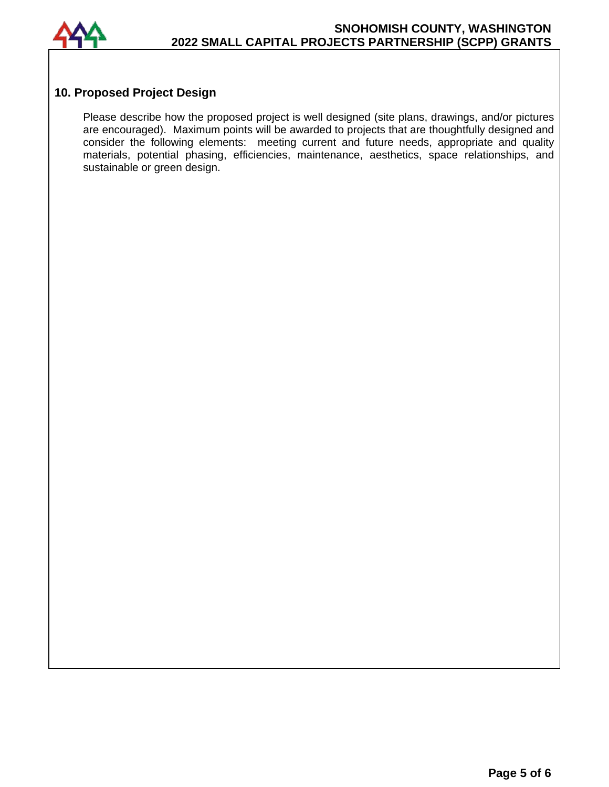

## **10. Proposed Project Design**

Please describe how the proposed project is well designed (site plans, drawings, and/or pictures are encouraged). Maximum points will be awarded to projects that are thoughtfully designed and consider the following elements: meeting current and future needs, appropriate and quality materials, potential phasing, efficiencies, maintenance, aesthetics, space relationships, and sustainable or green design.